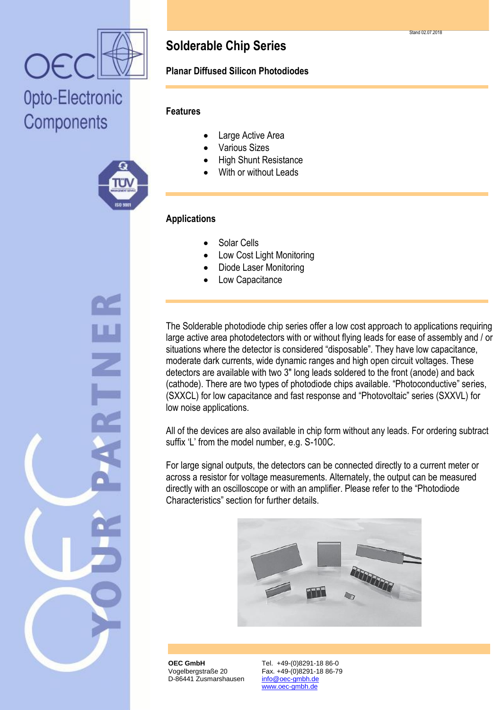

# Opto-Electronic Components



# **Solderable Chip Series**

### **Planar Diffused Silicon Photodiodes**

#### **Features**

- Large Active Area
- Various Sizes
- High Shunt Resistance
- With or without Leads

### **Applications**

- Solar Cells
- Low Cost Light Monitoring
- Diode Laser Monitoring
- Low Capacitance

The Solderable photodiode chip series offer a low cost approach to applications requiring large active area photodetectors with or without flying leads for ease of assembly and / or situations where the detector is considered "disposable". They have low capacitance, moderate dark currents, wide dynamic ranges and high open circuit voltages. These detectors are available with two 3" long leads soldered to the front (anode) and back (cathode). There are two types of photodiode chips available. "Photoconductive" series, (SXXCL) for low capacitance and fast response and "Photovoltaic" series (SXXVL) for low noise applications.

All of the devices are also available in chip form without any leads. For ordering subtract suffix 'L' from the model number, e.g. S-100C.

For large signal outputs, the detectors can be connected directly to a current meter or across a resistor for voltage measurements. Alternately, the output can be measured directly with an oscilloscope or with an amplifier. Please refer to the "Photodiode Characteristics" section for further details.



**OEC GmbH** Vogelbergstraße 20 D-86441 Zusmarshausen Tel. +49-(0)8291-18 86-0 Fax. +49-(0)8291-18 86-79 info@oec-gmbh.de www.oec-gmbh.de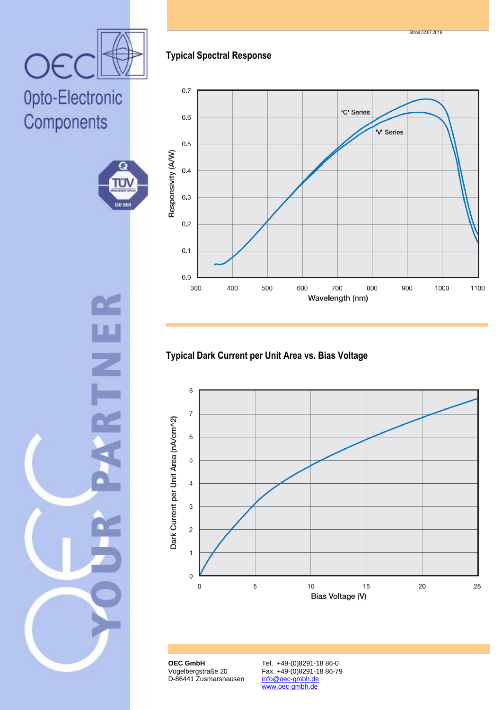**OEC GmbH** Vogelbergstraße 20 D-86441 Zusmarshausen

Tel. +49-(0)8291-18 86-0 Fax. +49-(0)8291-18 86-79 info@oec-gmbh.de www.oec-gmbh.de

**Typical Spectral Response**

#### $0.7$ <sup>'C'</sup> Series  $0.6$ 'V' Series  $0.5$ Responsivity (A/W)  $0.4$  $0,3$  $0.2$  $0.1$  $0.0$ 300 400 500 600 700 800 900 1000 1100 Wavelength (nm)

## **Typical Dark Current per Unit Area vs. Bias Voltage**





۵

ПŬ

Components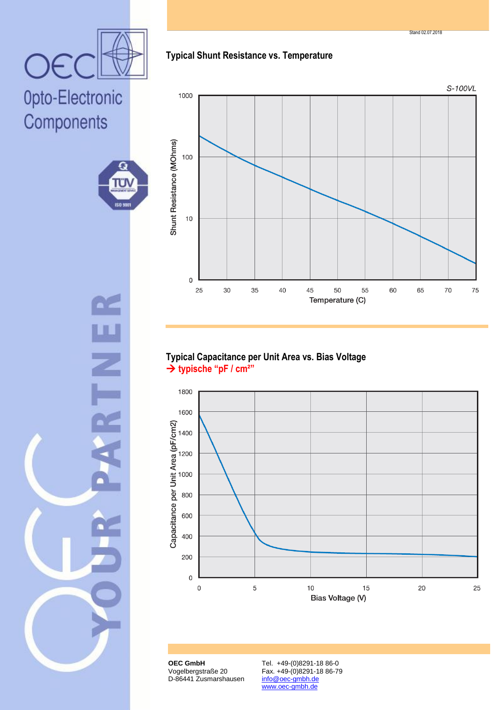**OEC GmbH** Vogelbergstraße 20 D-86441 Zusmarshausen Tel. +49-(0)8291-18 86-0 Fax. +49-(0)8291-18 86-79 info@oec-gmbh.de www.oec-gmbh.de

### **Typical Shunt Resistance vs. Temperature**



### **Typical Capacitance per Unit Area vs. Bias Voltage typische "pF / cm²"**



# OE Opto-Electronic Components



Stand 02.07.2018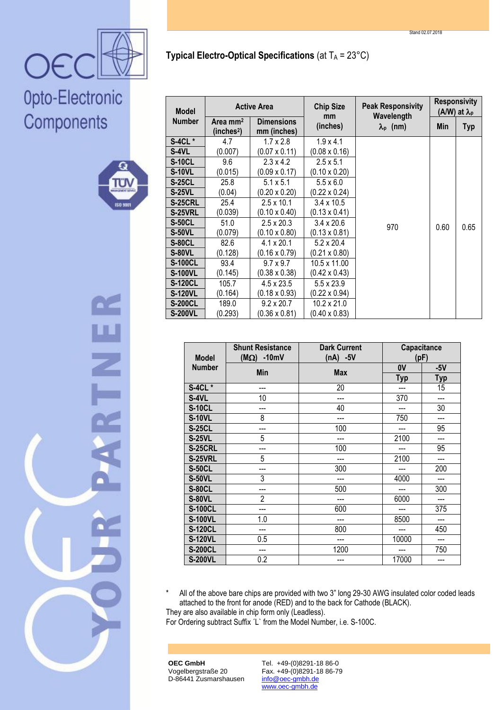**Responsivity**



# Opto-Electronic Components



| <b>Model</b>   | <b>Active Area</b>                             |                                  | <b>Chip Size</b><br>mm | <b>Peak Responsivity</b><br>Wavelength | <b>INGOMULIOITILY</b><br>(A/W) at $\lambda_p$ |            |
|----------------|------------------------------------------------|----------------------------------|------------------------|----------------------------------------|-----------------------------------------------|------------|
| <b>Number</b>  | Area mm <sup>2</sup><br>(inches <sup>2</sup> ) | <b>Dimensions</b><br>mm (inches) | (inches)               | $\lambda_{p}$ (nm)                     | Min                                           | <b>Typ</b> |
| <b>S-4CL *</b> | 4.7                                            | $1.7 \times 2.8$                 | $1.9 \times 4.1$       |                                        | 0.60                                          | 0.65       |
| $S-4VL$        | (0.007)                                        | $(0.07 \times 0.11)$             | $(0.08 \times 0.16)$   |                                        |                                               |            |
| <b>S-10CL</b>  | 9.6                                            | $2.3 \times 4.2$                 | $2.5 \times 5.1$       |                                        |                                               |            |
| <b>S-10VL</b>  | (0.015)                                        | $(0.09 \times 0.17)$             | $(0.10 \times 0.20)$   |                                        |                                               |            |
| <b>S-25CL</b>  | 25.8                                           | $5.1 \times 5.1$                 | $5.5 \times 6.0$       |                                        |                                               |            |
| <b>S-25VL</b>  | (0.04)                                         | $(0.20 \times 0.20)$             | $(0.22 \times 0.24)$   |                                        |                                               |            |
| <b>S-25CRL</b> | 25.4                                           | $2.5 \times 10.1$                | $3.4 \times 10.5$      |                                        |                                               |            |
| <b>S-25VRL</b> | (0.039)                                        | $(0.10 \times 0.40)$             | $(0.13 \times 0.41)$   |                                        |                                               |            |
| <b>S-50CL</b>  | 51.0                                           | $2.5 \times 20.3$                | $3.4 \times 20.6$      | 970                                    |                                               |            |
| <b>S-50VL</b>  | (0.079)                                        | $(0.10 \times 0.80)$             | $(0.13 \times 0.81)$   |                                        |                                               |            |
| <b>S-80CL</b>  | 82.6                                           | $4.1 \times 20.1$                | $5.2 \times 20.4$      |                                        |                                               |            |
| <b>S-80VL</b>  | (0.128)                                        | $(0.16 \times 0.79)$             | $(0.21 \times 0.80)$   |                                        |                                               |            |
| <b>S-100CL</b> | 93.4                                           | $9.7 \times 9.7$                 | 10.5 x 11.00           |                                        |                                               |            |
| <b>S-100VL</b> | (0.145)                                        | $(0.38 \times 0.38)$             | $(0.42 \times 0.43)$   |                                        |                                               |            |
| <b>S-120CL</b> | 105.7                                          | $4.5 \times 23.5$                | $5.5 \times 23.9$      |                                        |                                               |            |
| <b>S-120VL</b> | (0.164)                                        | $(0.18 \times 0.93)$             | $(0.22 \times 0.94)$   |                                        |                                               |            |
| <b>S-200CL</b> | 189.0                                          | $9.2 \times 20.7$                | 10.2 x 21.0            |                                        |                                               |            |
| <b>S-200VL</b> | (0.293)                                        | $(0.36 \times 0.81)$             | $(0.40 \times 0.83)$   |                                        |                                               |            |

**Typical Electro-Optical Specifications** (at T<sub>A</sub> = 23°C)

| <b>Model</b>   | <b>Shunt Resistance</b><br>$(M\Omega)$<br>$-10mV$ | <b>Dark Current</b><br>(nA) -5V | Capacitance<br>(pF) |            |
|----------------|---------------------------------------------------|---------------------------------|---------------------|------------|
| <b>Number</b>  | Min                                               | <b>Max</b>                      | 0V                  | $-5V$      |
|                |                                                   |                                 | Typ                 | <b>Typ</b> |
| <b>S-4CL*</b>  |                                                   | 20                              |                     | 15         |
| <b>S-4VL</b>   | 10                                                |                                 | 370                 | ---        |
| <b>S-10CL</b>  |                                                   | 40                              | ---                 | 30         |
| <b>S-10VL</b>  | 8                                                 |                                 | 750                 | ---        |
| <b>S-25CL</b>  |                                                   | 100                             |                     | 95         |
| <b>S-25VL</b>  | 5                                                 |                                 | 2100                | ---        |
| <b>S-25CRL</b> | ---                                               | 100                             | ---                 | 95         |
| <b>S-25VRL</b> | 5                                                 |                                 | 2100                | ---        |
| <b>S-50CL</b>  | ---                                               | 300                             |                     | 200        |
| <b>S-50VL</b>  | 3                                                 |                                 | 4000                |            |
| <b>S-80CL</b>  | ---                                               | 500                             | ---                 | 300        |
| <b>S-80VL</b>  | $\overline{2}$                                    | ---                             | 6000                | ---        |
| <b>S-100CL</b> | ---                                               | 600                             | ---                 | 375        |
| <b>S-100VL</b> | 1.0                                               |                                 | 8500                | ---        |
| <b>S-120CL</b> | ---                                               | 800                             |                     | 450        |
| <b>S-120VL</b> | 0.5                                               | ---                             | 10000               | ---        |
| <b>S-200CL</b> | ---                                               | 1200                            | ---                 | 750        |
| <b>S-200VL</b> | 0.2                                               | ---                             | 17000               | ---        |

All of the above bare chips are provided with two 3" long 29-30 AWG insulated color coded leads attached to the front for anode (RED) and to the back for Cathode (BLACK). They are also available in chip form only (Leadless).

For Ordering subtract Suffix ´L` from the Model Number, i.e. S-100C.

**OEC GmbH** Vogelbergstraße 20 D-86441 Zusmarshausen

Tel. +49-(0)8291-18 86-0 Fax. +49-(0)8291-18 86-79 info@oec-gmbh.de www.oec-gmbh.de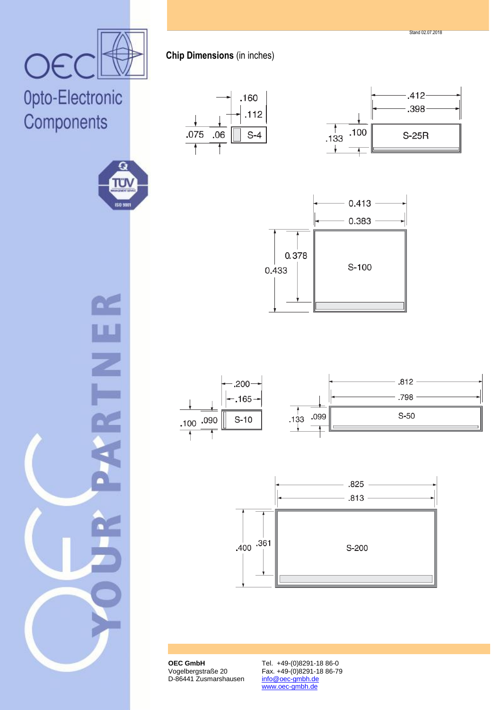**Chip Dimensions** (in inches)





 $\overline{\mathbf{z}}$ 











**OEC GmbH** Vogelbergstraße 20 D-86441 Zusmarshausen

Tel. +49-(0)8291-18 86-0 Fax. +49-(0)8291-18 86-79 info@oec-gmbh.de www.oec-gmbh.de